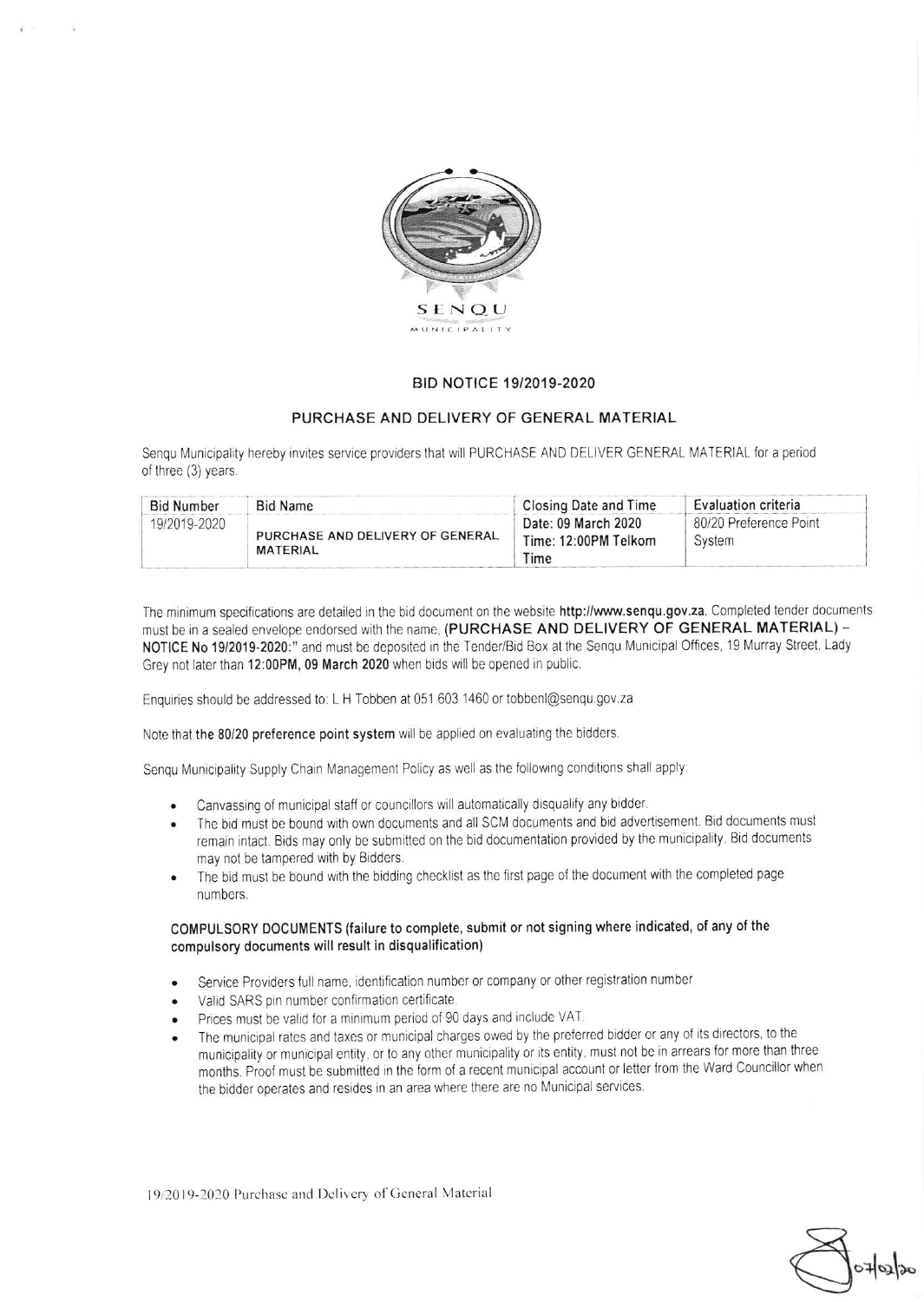

## BID NOTICE 19/2019-2020

## PURCHASE AND DELIVERY OF GENERAL MATERIAL

Senqu Municipality hereby invites service providers that will PURCHASE AND DELIVER GENERAL MATERIAL for a period of three (3) years.

| <b>Bid Number</b> | <b>Bid Name</b>                                     | <b>Closing Date and Time</b>                        | <b>Evaluation criteria</b>       |
|-------------------|-----------------------------------------------------|-----------------------------------------------------|----------------------------------|
| 19/2019-2020      | PURCHASE AND DELIVERY OF GENERAL<br><b>MATERIAL</b> | Date: 09 March 2020<br>Time: 12:00PM Telkom<br>Time | 80/20 Preference Point<br>System |

The minimum specifications are detailed in the bid document on the website http://www.senqu.gov.za. Completed tender documents must be in a sealed envelope endorsed with the name. (PURCHASE AND DELIVERY OF GENERAL MATERIAL) -NOTICE No 19/2019-2020:" and must be deposited in the Tender/Bid Box at the Senqu Municipal Offices, 19 Murray Street, Lady Grey not later than 12:00PM, 09 March 2020 when bids will be opened in public

Enquiries should be addressed to: L H Tobben at 051 603 1460 or tobbenl@senqu.9ov.za

Note that the 80/20 preference point system will be applied on evaluating the bidders.

Sengu Municipality Supply Chain Management Policy as well as the following conditions shall apply:

- Canvassing of municipal staff or councillors will automatically disqualify any bidder.
- . The bid must be bound with own documents and all SCM documents and bid advertisemenl. Bid documents musl remain intact. Bids may only be submitted on the bid documentation provided by the municipality. Bid documents may not be tampered with by Bidders.
- The bid must be bound with the bidding checklist as the first page of the document with the completed page numbers

## COMPULSORY OOCUMENTS (failure to complete, submit or not signing where indicated, of any of the compulsory documents will result in disqualification)

- . Service Providers full name, identification number or company or other registration number
- . Valid SARS pin number confirmation certificate
- . Prices must be valid for a minimum period of 90 days and include VAT
- The municipal rates and taxes or municipal charges owed by the preferred bidder or any of its directors, to the municipality or municipal entity, or to any other municipality or its entity, must not be in arrears for more than three months. Proof must be submitted in the form of a recent municipal account or letter from the Ward Councillor when the bidder operates and resides in an area where there are no Municipal services.

19/2019-2020 Purchase and Delivery of General Material